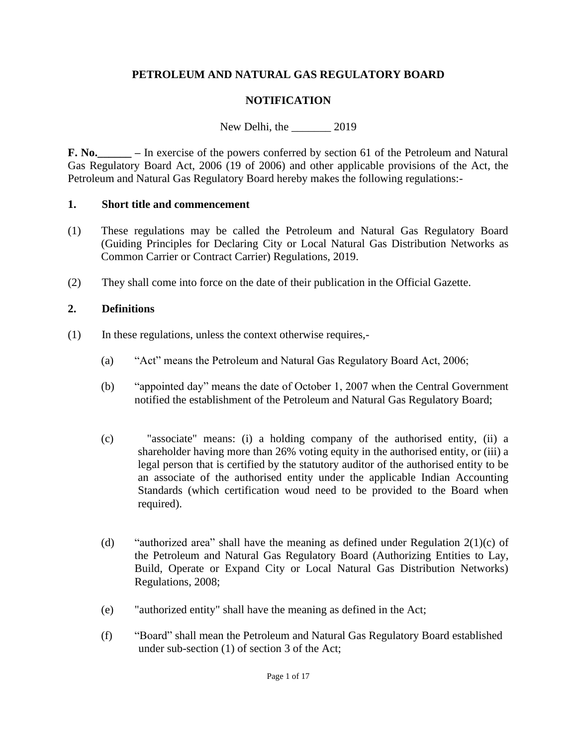## **PETROLEUM AND NATURAL GAS REGULATORY BOARD**

## **NOTIFICATION**

New Delhi, the 2019

**F. No.\_\_\_\_\_\_ –** In exercise of the powers conferred by section 61 of the Petroleum and Natural Gas Regulatory Board Act, 2006 (19 of 2006) and other applicable provisions of the Act, the Petroleum and Natural Gas Regulatory Board hereby makes the following regulations:-

#### **1. Short title and commencement**

- (1) These regulations may be called the Petroleum and Natural Gas Regulatory Board (Guiding Principles for Declaring City or Local Natural Gas Distribution Networks as Common Carrier or Contract Carrier) Regulations, 2019.
- (2) They shall come into force on the date of their publication in the Official Gazette.

#### **2. Definitions**

- (1) In these regulations, unless the context otherwise requires,-
	- (a) "Act" means the Petroleum and Natural Gas Regulatory Board Act, 2006;
	- (b) "appointed day" means the date of October 1, 2007 when the Central Government notified the establishment of the Petroleum and Natural Gas Regulatory Board;
	- (c) "associate" means: (i) a holding company of the authorised entity, (ii) a shareholder having more than 26% voting equity in the authorised entity, or (iii) a legal person that is certified by the statutory auditor of the authorised entity to be an associate of the authorised entity under the applicable Indian Accounting Standards (which certification woud need to be provided to the Board when required).
	- (d) "authorized area" shall have the meaning as defined under Regulation  $2(1)(c)$  of the Petroleum and Natural Gas Regulatory Board (Authorizing Entities to Lay, Build, Operate or Expand City or Local Natural Gas Distribution Networks) Regulations, 2008;
	- (e) "authorized entity" shall have the meaning as defined in the Act;
	- (f) "Board" shall mean the Petroleum and Natural Gas Regulatory Board established under sub-section (1) of section 3 of the Act;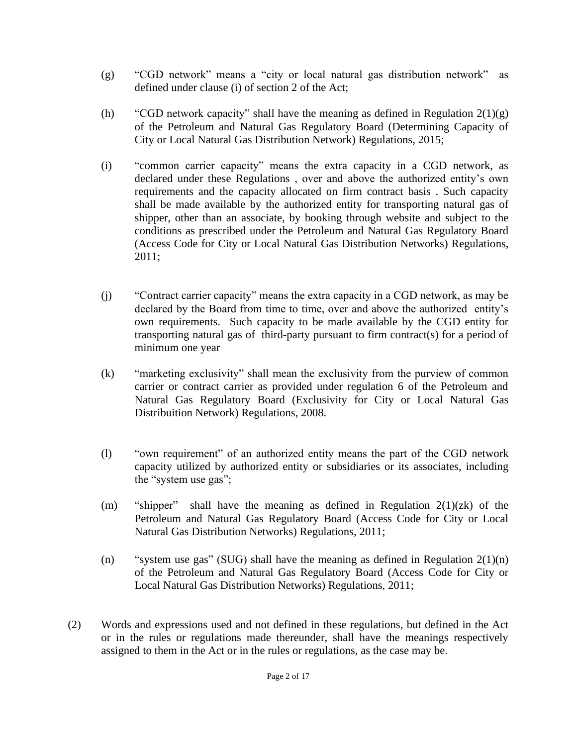- (g) "CGD network" means a "city or local natural gas distribution network" as defined under clause (i) of section 2 of the Act;
- (h) "CGD network capacity" shall have the meaning as defined in Regulation  $2(1)(g)$ of the Petroleum and Natural Gas Regulatory Board (Determining Capacity of City or Local Natural Gas Distribution Network) Regulations, 2015;
- (i) "common carrier capacity" means the extra capacity in a CGD network, as declared under these Regulations , over and above the authorized entity's own requirements and the capacity allocated on firm contract basis . Such capacity shall be made available by the authorized entity for transporting natural gas of shipper, other than an associate, by booking through website and subject to the conditions as prescribed under the Petroleum and Natural Gas Regulatory Board (Access Code for City or Local Natural Gas Distribution Networks) Regulations, 2011;
- (j) "Contract carrier capacity" means the extra capacity in a CGD network, as may be declared by the Board from time to time, over and above the authorized entity's own requirements. Such capacity to be made available by the CGD entity for transporting natural gas of third-party pursuant to firm contract(s) for a period of minimum one year
- (k) "marketing exclusivity" shall mean the exclusivity from the purview of common carrier or contract carrier as provided under regulation 6 of the Petroleum and Natural Gas Regulatory Board (Exclusivity for City or Local Natural Gas Distribuition Network) Regulations, 2008.
- (l) "own requirement" of an authorized entity means the part of the CGD network capacity utilized by authorized entity or subsidiaries or its associates, including the "system use gas";
- (m) "shipper" shall have the meaning as defined in Regulation  $2(1)(zk)$  of the Petroleum and Natural Gas Regulatory Board (Access Code for City or Local Natural Gas Distribution Networks) Regulations, 2011;
- (n) "system use gas" (SUG) shall have the meaning as defined in Regulation  $2(1)(n)$ of the Petroleum and Natural Gas Regulatory Board (Access Code for City or Local Natural Gas Distribution Networks) Regulations, 2011;
- (2) Words and expressions used and not defined in these regulations, but defined in the Act or in the rules or regulations made thereunder, shall have the meanings respectively assigned to them in the Act or in the rules or regulations, as the case may be.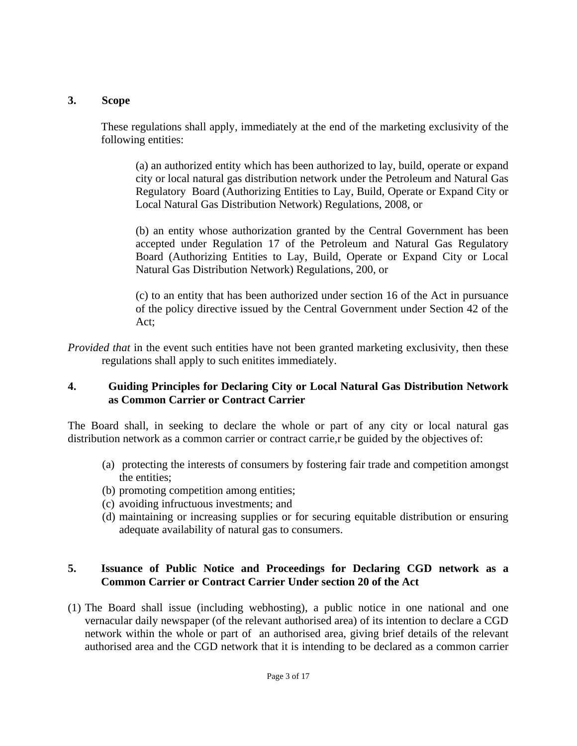#### **3. Scope**

These regulations shall apply, immediately at the end of the marketing exclusivity of the following entities:

(a) an authorized entity which has been authorized to lay, build, operate or expand city or local natural gas distribution network under the Petroleum and Natural Gas Regulatory Board (Authorizing Entities to Lay, Build, Operate or Expand City or Local Natural Gas Distribution Network) Regulations, 2008, or

(b) an entity whose authorization granted by the Central Government has been accepted under Regulation 17 of the Petroleum and Natural Gas Regulatory Board (Authorizing Entities to Lay, Build, Operate or Expand City or Local Natural Gas Distribution Network) Regulations, 200, or

(c) to an entity that has been authorized under section 16 of the Act in pursuance of the policy directive issued by the Central Government under Section 42 of the Act;

*Provided that* in the event such entities have not been granted marketing exclusivity, then these regulations shall apply to such enitites immediately.

#### **4. Guiding Principles for Declaring City or Local Natural Gas Distribution Network as Common Carrier or Contract Carrier**

The Board shall, in seeking to declare the whole or part of any city or local natural gas distribution network as a common carrier or contract carrie, r be guided by the objectives of:

- (a) protecting the interests of consumers by fostering fair trade and competition amongst the entities;
- (b) promoting competition among entities;
- (c) avoiding infructuous investments; and
- (d) maintaining or increasing supplies or for securing equitable distribution or ensuring adequate availability of natural gas to consumers.

#### **5. Issuance of Public Notice and Proceedings for Declaring CGD network as a Common Carrier or Contract Carrier Under section 20 of the Act**

(1) The Board shall issue (including webhosting), a public notice in one national and one vernacular daily newspaper (of the relevant authorised area) of its intention to declare a CGD network within the whole or part of an authorised area, giving brief details of the relevant authorised area and the CGD network that it is intending to be declared as a common carrier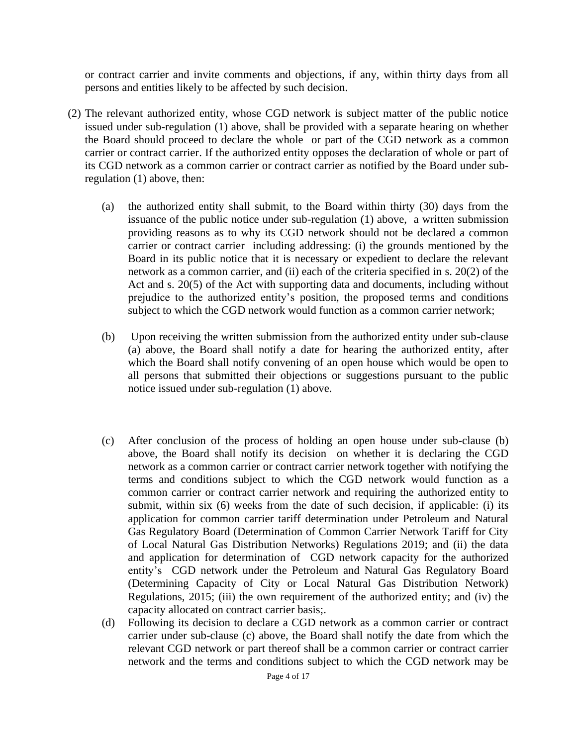or contract carrier and invite comments and objections, if any, within thirty days from all persons and entities likely to be affected by such decision.

- (2) The relevant authorized entity, whose CGD network is subject matter of the public notice issued under sub-regulation (1) above, shall be provided with a separate hearing on whether the Board should proceed to declare the whole or part of the CGD network as a common carrier or contract carrier. If the authorized entity opposes the declaration of whole or part of its CGD network as a common carrier or contract carrier as notified by the Board under subregulation (1) above, then:
	- (a) the authorized entity shall submit, to the Board within thirty (30) days from the issuance of the public notice under sub-regulation (1) above, a written submission providing reasons as to why its CGD network should not be declared a common carrier or contract carrier including addressing: (i) the grounds mentioned by the Board in its public notice that it is necessary or expedient to declare the relevant network as a common carrier, and (ii) each of the criteria specified in s. 20(2) of the Act and s. 20(5) of the Act with supporting data and documents, including without prejudice to the authorized entity's position, the proposed terms and conditions subject to which the CGD network would function as a common carrier network;
	- (b) Upon receiving the written submission from the authorized entity under sub-clause (a) above, the Board shall notify a date for hearing the authorized entity, after which the Board shall notify convening of an open house which would be open to all persons that submitted their objections or suggestions pursuant to the public notice issued under sub-regulation (1) above.
	- (c) After conclusion of the process of holding an open house under sub-clause (b) above, the Board shall notify its decision on whether it is declaring the CGD network as a common carrier or contract carrier network together with notifying the terms and conditions subject to which the CGD network would function as a common carrier or contract carrier network and requiring the authorized entity to submit, within six (6) weeks from the date of such decision, if applicable: (i) its application for common carrier tariff determination under Petroleum and Natural Gas Regulatory Board (Determination of Common Carrier Network Tariff for City of Local Natural Gas Distribution Networks) Regulations 2019; and (ii) the data and application for determination of CGD network capacity for the authorized entity's CGD network under the Petroleum and Natural Gas Regulatory Board (Determining Capacity of City or Local Natural Gas Distribution Network) Regulations, 2015; (iii) the own requirement of the authorized entity; and (iv) the capacity allocated on contract carrier basis;.
	- (d) Following its decision to declare a CGD network as a common carrier or contract carrier under sub-clause (c) above, the Board shall notify the date from which the relevant CGD network or part thereof shall be a common carrier or contract carrier network and the terms and conditions subject to which the CGD network may be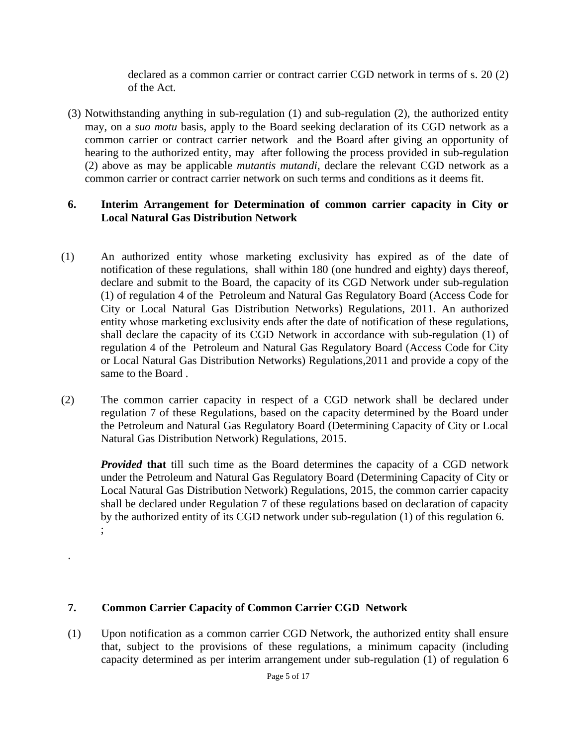declared as a common carrier or contract carrier CGD network in terms of s. 20 (2) of the Act.

(3) Notwithstanding anything in sub-regulation (1) and sub-regulation (2), the authorized entity may, on a *suo motu* basis, apply to the Board seeking declaration of its CGD network as a common carrier or contract carrier network and the Board after giving an opportunity of hearing to the authorized entity, may after following the process provided in sub-regulation (2) above as may be applicable *mutantis mutandi*, declare the relevant CGD network as a common carrier or contract carrier network on such terms and conditions as it deems fit.

#### **6. Interim Arrangement for Determination of common carrier capacity in City or Local Natural Gas Distribution Network**

- (1) An authorized entity whose marketing exclusivity has expired as of the date of notification of these regulations, shall within 180 (one hundred and eighty) days thereof, declare and submit to the Board, the capacity of its CGD Network under sub-regulation (1) of regulation 4 of the Petroleum and Natural Gas Regulatory Board (Access Code for City or Local Natural Gas Distribution Networks) Regulations, 2011. An authorized entity whose marketing exclusivity ends after the date of notification of these regulations, shall declare the capacity of its CGD Network in accordance with sub-regulation (1) of regulation 4 of the Petroleum and Natural Gas Regulatory Board (Access Code for City or Local Natural Gas Distribution Networks) Regulations,2011 and provide a copy of the same to the Board .
- (2) The common carrier capacity in respect of a CGD network shall be declared under regulation 7 of these Regulations, based on the capacity determined by the Board under the Petroleum and Natural Gas Regulatory Board (Determining Capacity of City or Local Natural Gas Distribution Network) Regulations, 2015.

*Provided* **that** till such time as the Board determines the capacity of a CGD network under the Petroleum and Natural Gas Regulatory Board (Determining Capacity of City or Local Natural Gas Distribution Network) Regulations, 2015, the common carrier capacity shall be declared under Regulation 7 of these regulations based on declaration of capacity by the authorized entity of its CGD network under sub-regulation (1) of this regulation 6. ;

## **7. Common Carrier Capacity of Common Carrier CGD Network**

.

(1) Upon notification as a common carrier CGD Network, the authorized entity shall ensure that, subject to the provisions of these regulations, a minimum capacity (including capacity determined as per interim arrangement under sub-regulation (1) of regulation 6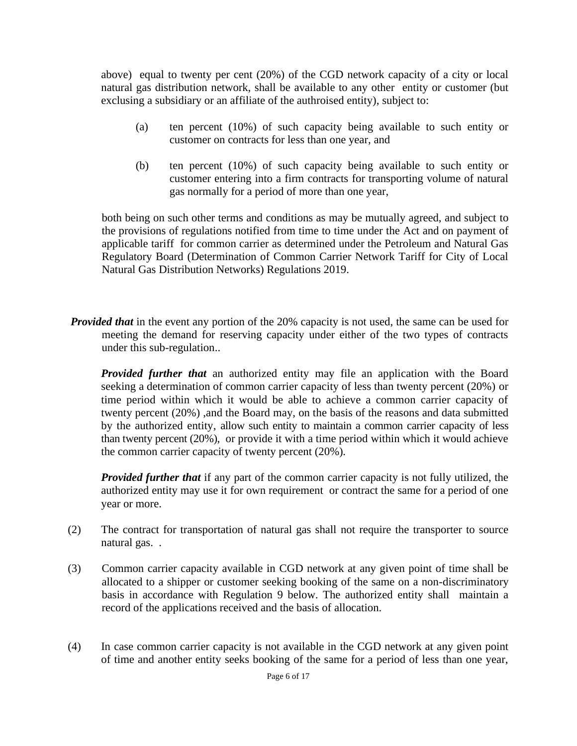above) equal to twenty per cent (20%) of the CGD network capacity of a city or local natural gas distribution network, shall be available to any other entity or customer (but exclusing a subsidiary or an affiliate of the authroised entity), subject to:

- (a) ten percent (10%) of such capacity being available to such entity or customer on contracts for less than one year, and
- (b) ten percent (10%) of such capacity being available to such entity or customer entering into a firm contracts for transporting volume of natural gas normally for a period of more than one year,

both being on such other terms and conditions as may be mutually agreed, and subject to the provisions of regulations notified from time to time under the Act and on payment of applicable tariff for common carrier as determined under the Petroleum and Natural Gas Regulatory Board (Determination of Common Carrier Network Tariff for City of Local Natural Gas Distribution Networks) Regulations 2019.

*Provided that* in the event any portion of the 20% capacity is not used, the same can be used for meeting the demand for reserving capacity under either of the two types of contracts under this sub-regulation..

*Provided further that* an authorized entity may file an application with the Board seeking a determination of common carrier capacity of less than twenty percent (20%) or time period within which it would be able to achieve a common carrier capacity of twenty percent (20%) ,and the Board may, on the basis of the reasons and data submitted by the authorized entity, allow such entity to maintain a common carrier capacity of less than twenty percent (20%), or provide it with a time period within which it would achieve the common carrier capacity of twenty percent (20%)*.*

*Provided further that* if any part of the common carrier capacity is not fully utilized, the authorized entity may use it for own requirement or contract the same for a period of one year or more.

- (2) The contract for transportation of natural gas shall not require the transporter to source natural gas. .
- (3) Common carrier capacity available in CGD network at any given point of time shall be allocated to a shipper or customer seeking booking of the same on a non-discriminatory basis in accordance with Regulation 9 below. The authorized entity shall maintain a record of the applications received and the basis of allocation.
- (4) In case common carrier capacity is not available in the CGD network at any given point of time and another entity seeks booking of the same for a period of less than one year,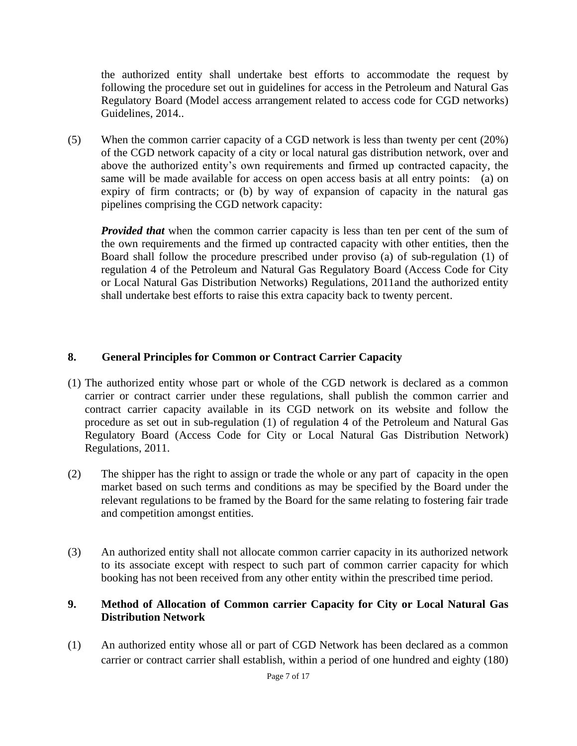the authorized entity shall undertake best efforts to accommodate the request by following the procedure set out in guidelines for access in the Petroleum and Natural Gas Regulatory Board (Model access arrangement related to access code for CGD networks) Guidelines, 2014..

(5) When the common carrier capacity of a CGD network is less than twenty per cent (20%) of the CGD network capacity of a city or local natural gas distribution network, over and above the authorized entity's own requirements and firmed up contracted capacity, the same will be made available for access on open access basis at all entry points: (a) on expiry of firm contracts; or (b) by way of expansion of capacity in the natural gas pipelines comprising the CGD network capacity:

*Provided that* when the common carrier capacity is less than ten per cent of the sum of the own requirements and the firmed up contracted capacity with other entities, then the Board shall follow the procedure prescribed under proviso (a) of sub-regulation (1) of regulation 4 of the Petroleum and Natural Gas Regulatory Board (Access Code for City or Local Natural Gas Distribution Networks) Regulations, 2011and the authorized entity shall undertake best efforts to raise this extra capacity back to twenty percent.

## **8. General Principles for Common or Contract Carrier Capacity**

- (1) The authorized entity whose part or whole of the CGD network is declared as a common carrier or contract carrier under these regulations, shall publish the common carrier and contract carrier capacity available in its CGD network on its website and follow the procedure as set out in sub-regulation (1) of regulation 4 of the Petroleum and Natural Gas Regulatory Board (Access Code for City or Local Natural Gas Distribution Network) Regulations, 2011.
- (2) The shipper has the right to assign or trade the whole or any part of capacity in the open market based on such terms and conditions as may be specified by the Board under the relevant regulations to be framed by the Board for the same relating to fostering fair trade and competition amongst entities.
- (3) An authorized entity shall not allocate common carrier capacity in its authorized network to its associate except with respect to such part of common carrier capacity for which booking has not been received from any other entity within the prescribed time period.

#### **9. Method of Allocation of Common carrier Capacity for City or Local Natural Gas Distribution Network**

(1) An authorized entity whose all or part of CGD Network has been declared as a common carrier or contract carrier shall establish, within a period of one hundred and eighty (180)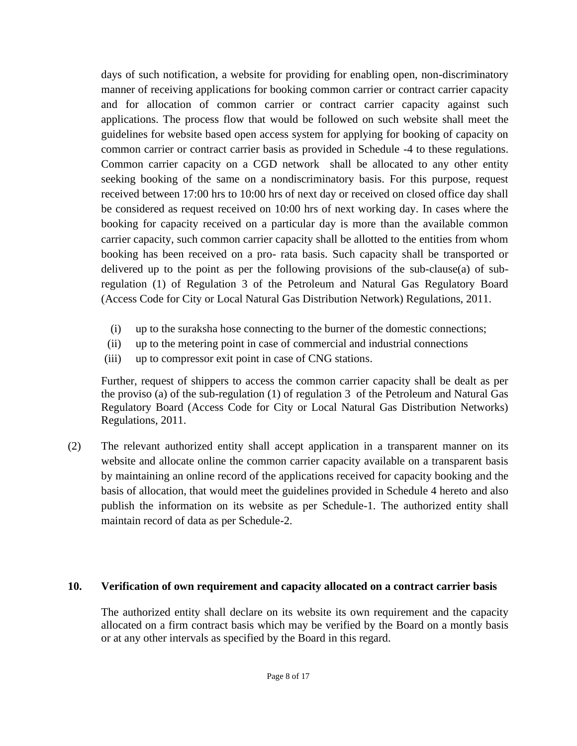days of such notification, a website for providing for enabling open, non-discriminatory manner of receiving applications for booking common carrier or contract carrier capacity and for allocation of common carrier or contract carrier capacity against such applications. The process flow that would be followed on such website shall meet the guidelines for website based open access system for applying for booking of capacity on common carrier or contract carrier basis as provided in Schedule -4 to these regulations. Common carrier capacity on a CGD network shall be allocated to any other entity seeking booking of the same on a nondiscriminatory basis. For this purpose, request received between 17:00 hrs to 10:00 hrs of next day or received on closed office day shall be considered as request received on 10:00 hrs of next working day. In cases where the booking for capacity received on a particular day is more than the available common carrier capacity, such common carrier capacity shall be allotted to the entities from whom booking has been received on a pro- rata basis. Such capacity shall be transported or delivered up to the point as per the following provisions of the sub-clause(a) of subregulation (1) of Regulation 3 of the Petroleum and Natural Gas Regulatory Board (Access Code for City or Local Natural Gas Distribution Network) Regulations, 2011.

- (i) up to the suraksha hose connecting to the burner of the domestic connections;
- (ii) up to the metering point in case of commercial and industrial connections
- (iii) up to compressor exit point in case of CNG stations.

Further, request of shippers to access the common carrier capacity shall be dealt as per the proviso (a) of the sub-regulation (1) of regulation 3 of the Petroleum and Natural Gas Regulatory Board (Access Code for City or Local Natural Gas Distribution Networks) Regulations, 2011.

(2) The relevant authorized entity shall accept application in a transparent manner on its website and allocate online the common carrier capacity available on a transparent basis by maintaining an online record of the applications received for capacity booking and the basis of allocation, that would meet the guidelines provided in Schedule 4 hereto and also publish the information on its website as per Schedule-1. The authorized entity shall maintain record of data as per Schedule-2.

#### **10. Verification of own requirement and capacity allocated on a contract carrier basis**

The authorized entity shall declare on its website its own requirement and the capacity allocated on a firm contract basis which may be verified by the Board on a montly basis or at any other intervals as specified by the Board in this regard.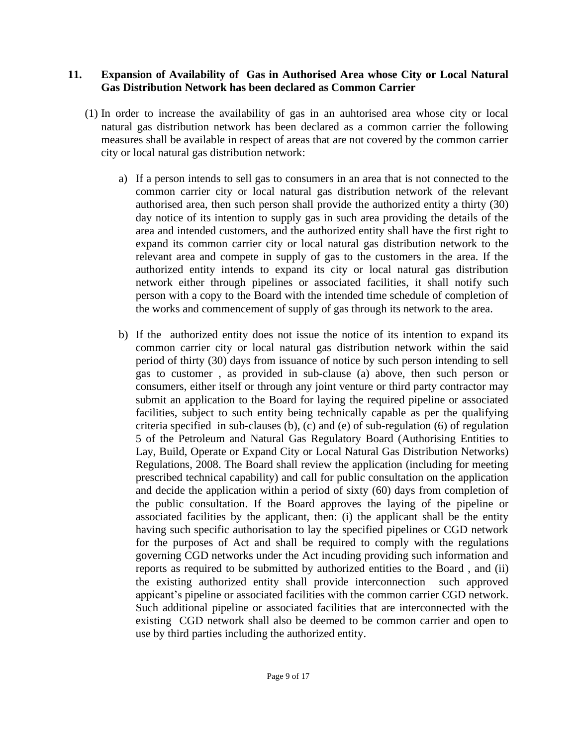#### **11. Expansion of Availability of Gas in Authorised Area whose City or Local Natural Gas Distribution Network has been declared as Common Carrier**

- (1) In order to increase the availability of gas in an auhtorised area whose city or local natural gas distribution network has been declared as a common carrier the following measures shall be available in respect of areas that are not covered by the common carrier city or local natural gas distribution network:
	- a) If a person intends to sell gas to consumers in an area that is not connected to the common carrier city or local natural gas distribution network of the relevant authorised area, then such person shall provide the authorized entity a thirty (30) day notice of its intention to supply gas in such area providing the details of the area and intended customers, and the authorized entity shall have the first right to expand its common carrier city or local natural gas distribution network to the relevant area and compete in supply of gas to the customers in the area. If the authorized entity intends to expand its city or local natural gas distribution network either through pipelines or associated facilities, it shall notify such person with a copy to the Board with the intended time schedule of completion of the works and commencement of supply of gas through its network to the area.
	- b) If the authorized entity does not issue the notice of its intention to expand its common carrier city or local natural gas distribution network within the said period of thirty (30) days from issuance of notice by such person intending to sell gas to customer , as provided in sub-clause (a) above, then such person or consumers, either itself or through any joint venture or third party contractor may submit an application to the Board for laying the required pipeline or associated facilities, subject to such entity being technically capable as per the qualifying criteria specified in sub-clauses (b), (c) and (e) of sub-regulation (6) of regulation 5 of the Petroleum and Natural Gas Regulatory Board (Authorising Entities to Lay, Build, Operate or Expand City or Local Natural Gas Distribution Networks) Regulations, 2008. The Board shall review the application (including for meeting prescribed technical capability) and call for public consultation on the application and decide the application within a period of sixty (60) days from completion of the public consultation. If the Board approves the laying of the pipeline or associated facilities by the applicant, then: (i) the applicant shall be the entity having such specific authorisation to lay the specified pipelines or CGD network for the purposes of Act and shall be required to comply with the regulations governing CGD networks under the Act incuding providing such information and reports as required to be submitted by authorized entities to the Board , and (ii) the existing authorized entity shall provide interconnection such approved appicant's pipeline or associated facilities with the common carrier CGD network. Such additional pipeline or associated facilities that are interconnected with the existing CGD network shall also be deemed to be common carrier and open to use by third parties including the authorized entity.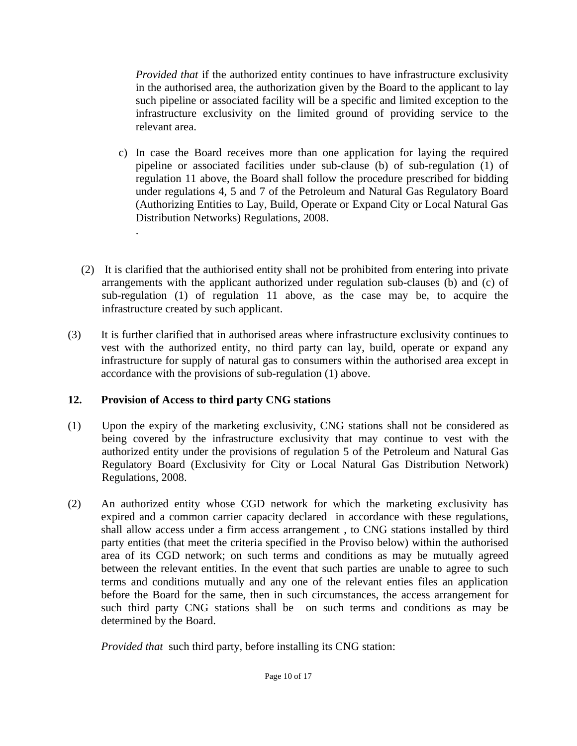*Provided that* if the authorized entity continues to have infrastructure exclusivity in the authorised area, the authorization given by the Board to the applicant to lay such pipeline or associated facility will be a specific and limited exception to the infrastructure exclusivity on the limited ground of providing service to the relevant area.

- c) In case the Board receives more than one application for laying the required pipeline or associated facilities under sub-clause (b) of sub-regulation (1) of regulation 11 above, the Board shall follow the procedure prescribed for bidding under regulations 4, 5 and 7 of the Petroleum and Natural Gas Regulatory Board (Authorizing Entities to Lay, Build, Operate or Expand City or Local Natural Gas Distribution Networks) Regulations, 2008.
- (2) It is clarified that the authiorised entity shall not be prohibited from entering into private arrangements with the applicant authorized under regulation sub-clauses (b) and (c) of sub-regulation (1) of regulation 11 above, as the case may be, to acquire the infrastructure created by such applicant.
- (3) It is further clarified that in authorised areas where infrastructure exclusivity continues to vest with the authorized entity, no third party can lay, build, operate or expand any infrastructure for supply of natural gas to consumers within the authorised area except in accordance with the provisions of sub-regulation (1) above.

## **12. Provision of Access to third party CNG stations**

.

- (1) Upon the expiry of the marketing exclusivity, CNG stations shall not be considered as being covered by the infrastructure exclusivity that may continue to vest with the authorized entity under the provisions of regulation 5 of the Petroleum and Natural Gas Regulatory Board (Exclusivity for City or Local Natural Gas Distribution Network) Regulations, 2008.
- (2) An authorized entity whose CGD network for which the marketing exclusivity has expired and a common carrier capacity declared in accordance with these regulations, shall allow access under a firm access arrangement , to CNG stations installed by third party entities (that meet the criteria specified in the Proviso below) within the authorised area of its CGD network; on such terms and conditions as may be mutually agreed between the relevant entities. In the event that such parties are unable to agree to such terms and conditions mutually and any one of the relevant enties files an application before the Board for the same, then in such circumstances, the access arrangement for such third party CNG stations shall be on such terms and conditions as may be determined by the Board.

*Provided that* such third party, before installing its CNG station: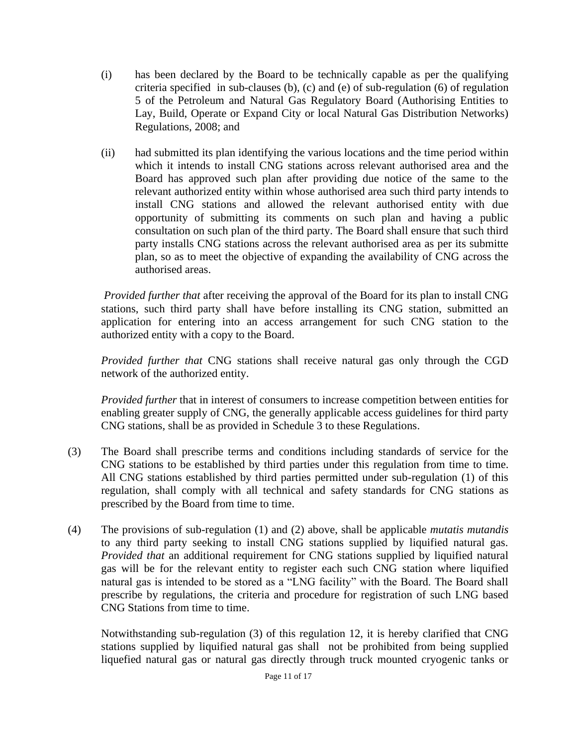- (i) has been declared by the Board to be technically capable as per the qualifying criteria specified in sub-clauses (b), (c) and (e) of sub-regulation (6) of regulation 5 of the Petroleum and Natural Gas Regulatory Board (Authorising Entities to Lay, Build, Operate or Expand City or local Natural Gas Distribution Networks) Regulations, 2008; and
- (ii) had submitted its plan identifying the various locations and the time period within which it intends to install CNG stations across relevant authorised area and the Board has approved such plan after providing due notice of the same to the relevant authorized entity within whose authorised area such third party intends to install CNG stations and allowed the relevant authorised entity with due opportunity of submitting its comments on such plan and having a public consultation on such plan of the third party. The Board shall ensure that such third party installs CNG stations across the relevant authorised area as per its submitte plan, so as to meet the objective of expanding the availability of CNG across the authorised areas.

*Provided further that* after receiving the approval of the Board for its plan to install CNG stations, such third party shall have before installing its CNG station, submitted an application for entering into an access arrangement for such CNG station to the authorized entity with a copy to the Board.

*Provided further that* CNG stations shall receive natural gas only through the CGD network of the authorized entity.

*Provided further* that in interest of consumers to increase competition between entities for enabling greater supply of CNG, the generally applicable access guidelines for third party CNG stations, shall be as provided in Schedule 3 to these Regulations.

- (3) The Board shall prescribe terms and conditions including standards of service for the CNG stations to be established by third parties under this regulation from time to time. All CNG stations established by third parties permitted under sub-regulation (1) of this regulation, shall comply with all technical and safety standards for CNG stations as prescribed by the Board from time to time.
- (4) The provisions of sub-regulation (1) and (2) above, shall be applicable *mutatis mutandis* to any third party seeking to install CNG stations supplied by liquified natural gas. *Provided that* an additional requirement for CNG stations supplied by liquified natural gas will be for the relevant entity to register each such CNG station where liquified natural gas is intended to be stored as a "LNG facility" with the Board. The Board shall prescribe by regulations, the criteria and procedure for registration of such LNG based CNG Stations from time to time.

Notwithstanding sub-regulation (3) of this regulation 12, it is hereby clarified that CNG stations supplied by liquified natural gas shall not be prohibited from being supplied liquefied natural gas or natural gas directly through truck mounted cryogenic tanks or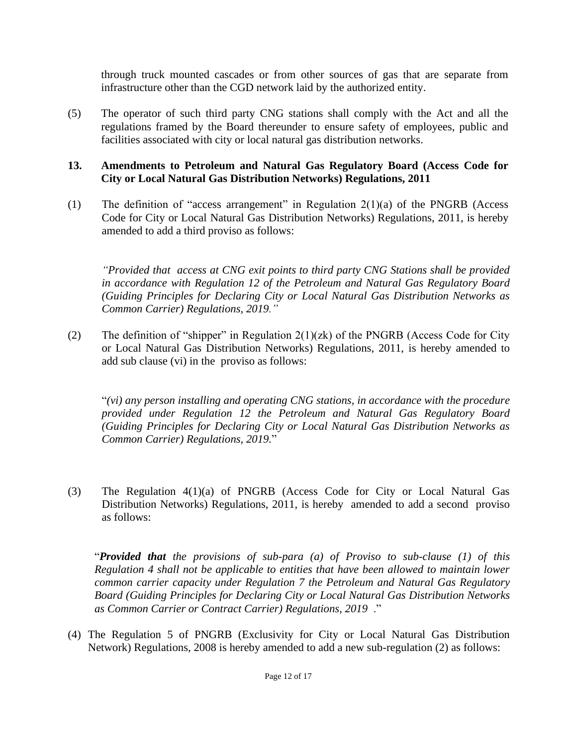through truck mounted cascades or from other sources of gas that are separate from infrastructure other than the CGD network laid by the authorized entity.

(5) The operator of such third party CNG stations shall comply with the Act and all the regulations framed by the Board thereunder to ensure safety of employees, public and facilities associated with city or local natural gas distribution networks.

#### **13. Amendments to Petroleum and Natural Gas Regulatory Board (Access Code for City or Local Natural Gas Distribution Networks) Regulations, 2011**

(1) The definition of "access arrangement" in Regulation 2(1)(a) of the PNGRB (Access Code for City or Local Natural Gas Distribution Networks) Regulations, 2011, is hereby amended to add a third proviso as follows:

*"Provided that access at CNG exit points to third party CNG Stations shall be provided in accordance with Regulation 12 of the Petroleum and Natural Gas Regulatory Board (Guiding Principles for Declaring City or Local Natural Gas Distribution Networks as Common Carrier) Regulations, 2019."*

(2) The definition of "shipper" in Regulation  $2(1)(zk)$  of the PNGRB (Access Code for City or Local Natural Gas Distribution Networks) Regulations, 2011, is hereby amended to add sub clause (vi) in the proviso as follows:

"*(vi) any person installing and operating CNG stations, in accordance with the procedure provided under Regulation 12 the Petroleum and Natural Gas Regulatory Board (Guiding Principles for Declaring City or Local Natural Gas Distribution Networks as Common Carrier) Regulations, 2019.*"

(3) The Regulation 4(1)(a) of PNGRB (Access Code for City or Local Natural Gas Distribution Networks) Regulations, 2011, is hereby amended to add a second proviso as follows:

"*Provided that the provisions of sub-para (a) of Proviso to sub-clause (1) of this Regulation 4 shall not be applicable to entities that have been allowed to maintain lower common carrier capacity under Regulation 7 the Petroleum and Natural Gas Regulatory Board (Guiding Principles for Declaring City or Local Natural Gas Distribution Networks as Common Carrier or Contract Carrier) Regulations, 2019* ."

(4) The Regulation 5 of PNGRB (Exclusivity for City or Local Natural Gas Distribution Network) Regulations, 2008 is hereby amended to add a new sub-regulation (2) as follows: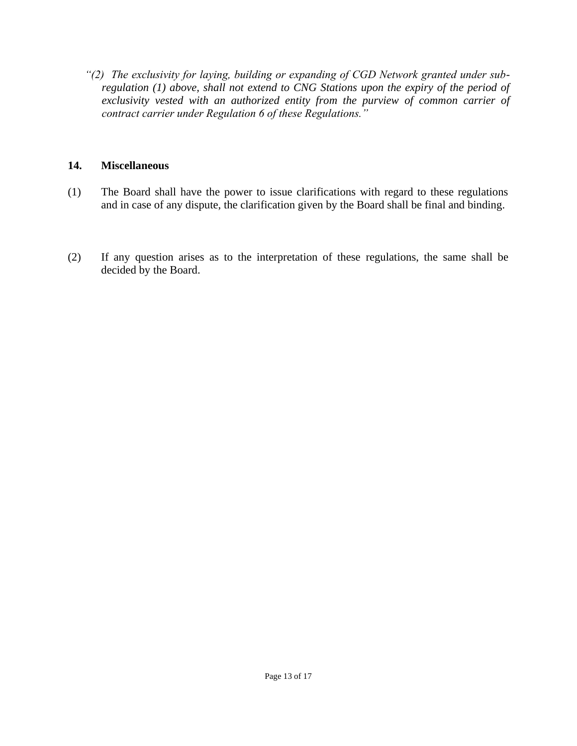*"(2) The exclusivity for laying, building or expanding of CGD Network granted under subregulation (1) above, shall not extend to CNG Stations upon the expiry of the period of exclusivity vested with an authorized entity from the purview of common carrier of contract carrier under Regulation 6 of these Regulations."*

#### **14. Miscellaneous**

- (1) The Board shall have the power to issue clarifications with regard to these regulations and in case of any dispute, the clarification given by the Board shall be final and binding.
- (2) If any question arises as to the interpretation of these regulations, the same shall be decided by the Board.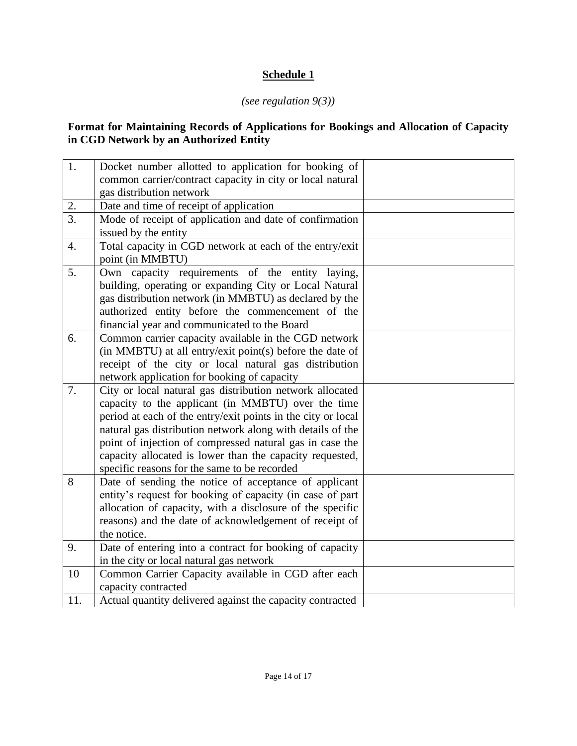## **Schedule 1**

## *(see regulation 9(3))*

#### **Format for Maintaining Records of Applications for Bookings and Allocation of Capacity in CGD Network by an Authorized Entity**

| 1.               | Docket number allotted to application for booking of<br>common carrier/contract capacity in city or local natural |  |
|------------------|-------------------------------------------------------------------------------------------------------------------|--|
|                  | gas distribution network                                                                                          |  |
| 2.               | Date and time of receipt of application                                                                           |  |
| $\overline{3}$ . | Mode of receipt of application and date of confirmation                                                           |  |
|                  | issued by the entity                                                                                              |  |
| 4.               | Total capacity in CGD network at each of the entry/exit                                                           |  |
|                  | point (in MMBTU)                                                                                                  |  |
| 5.               | Own capacity requirements of the entity laying,                                                                   |  |
|                  | building, operating or expanding City or Local Natural                                                            |  |
|                  | gas distribution network (in MMBTU) as declared by the                                                            |  |
|                  | authorized entity before the commencement of the                                                                  |  |
|                  | financial year and communicated to the Board                                                                      |  |
| 6.               | Common carrier capacity available in the CGD network                                                              |  |
|                  | (in MMBTU) at all entry/exit point(s) before the date of                                                          |  |
|                  | receipt of the city or local natural gas distribution                                                             |  |
|                  | network application for booking of capacity                                                                       |  |
| 7.               | City or local natural gas distribution network allocated                                                          |  |
|                  | capacity to the applicant (in MMBTU) over the time                                                                |  |
|                  | period at each of the entry/exit points in the city or local                                                      |  |
|                  | natural gas distribution network along with details of the                                                        |  |
|                  | point of injection of compressed natural gas in case the                                                          |  |
|                  | capacity allocated is lower than the capacity requested,                                                          |  |
|                  | specific reasons for the same to be recorded                                                                      |  |
| 8                | Date of sending the notice of acceptance of applicant                                                             |  |
|                  | entity's request for booking of capacity (in case of part                                                         |  |
|                  | allocation of capacity, with a disclosure of the specific                                                         |  |
|                  | reasons) and the date of acknowledgement of receipt of                                                            |  |
|                  | the notice.                                                                                                       |  |
| 9.               | Date of entering into a contract for booking of capacity                                                          |  |
|                  | in the city or local natural gas network                                                                          |  |
| 10               | Common Carrier Capacity available in CGD after each                                                               |  |
|                  | capacity contracted                                                                                               |  |
| 11.              | Actual quantity delivered against the capacity contracted                                                         |  |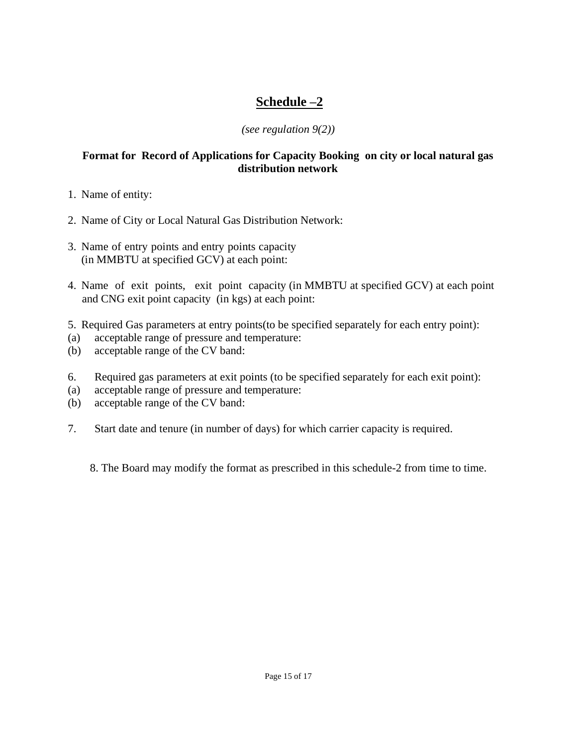# **Schedule –2**

## *(see regulation 9(2))*

## **Format for Record of Applications for Capacity Booking on city or local natural gas distribution network**

- 1. Name of entity:
- 2. Name of City or Local Natural Gas Distribution Network:
- 3. Name of entry points and entry points capacity (in MMBTU at specified GCV) at each point:
- 4. Name of exit points, exit point capacity (in MMBTU at specified GCV) at each point and CNG exit point capacity (in kgs) at each point:
- 5. Required Gas parameters at entry points(to be specified separately for each entry point):
- (a) acceptable range of pressure and temperature:
- (b) acceptable range of the CV band:
- 6. Required gas parameters at exit points (to be specified separately for each exit point):
- (a) acceptable range of pressure and temperature:
- (b) acceptable range of the CV band:
- 7. Start date and tenure (in number of days) for which carrier capacity is required.

8. The Board may modify the format as prescribed in this schedule-2 from time to time.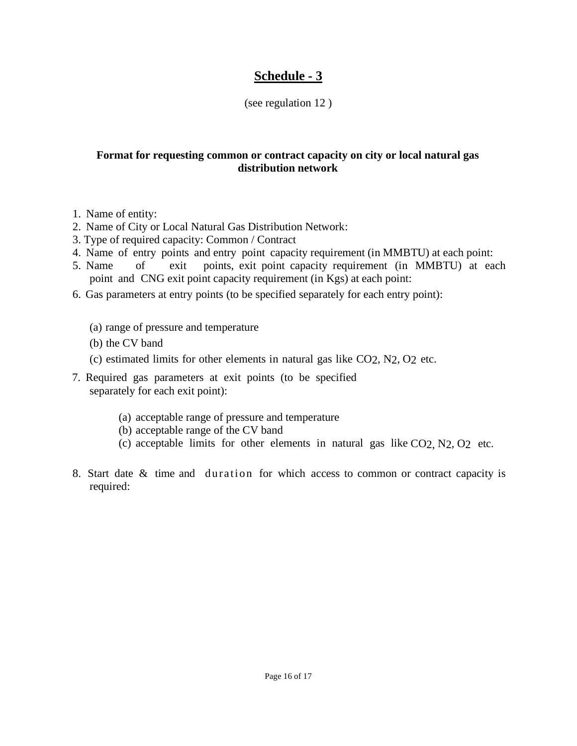## **Schedule - 3**

## (see regulation 12 )

## **Format for requesting common or contract capacity on city or local natural gas distribution network**

- 1. Name of entity:
- 2. Name of City or Local Natural Gas Distribution Network:
- 3. Type of required capacity: Common / Contract
- 4. Name of entry points and entry point capacity requirement (in MMBTU) at each point:<br>5. Name of exit points, exit point capacity requirement (in MMBTU) at ea
- of exit points, exit point capacity requirement (in MMBTU) at each point and CNG exit point capacity requirement (in Kgs) at each point:
- 6. Gas parameters at entry points (to be specified separately for each entry point):
	- (a) range of pressure and temperature
	- (b) the CV band
	- (c) estimated limits for other elements in natural gas like CO2, N2, O2 etc.
- 7. Required gas parameters at exit points (to be specified separately for each exit point):
	- (a) acceptable range of pressure and temperature
	- (b) acceptable range of the CV band
	- (c) acceptable limits for other elements in natural gas like CO2, N2, O2 etc.
- 8. Start date & time and duration for which access to common or contract capacity is required: